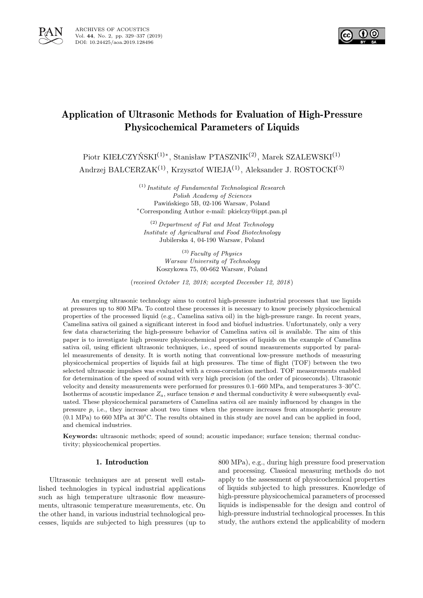



# Application of Ultrasonic Methods for Evaluation of High-Pressure Physicochemical Parameters of Liquids

Piotr KIEŁCZYŃSKI<sup>(1)</sup>\*, Stanisław PTASZNIK<sup>(2)</sup>, Marek SZALEWSKI<sup>(1)</sup>

Andrzej BALCERZAK<sup>(1)</sup>, Krzysztof WIEJA<sup>(1)</sup>, Aleksander J. ROSTOCKI<sup>(3)</sup>

(1) *Institute of Fundamental Technological Research Polish Academy of Sciences* Pawińskiego 5B, 02-106 Warsaw, Poland <sup>∗</sup>Corresponding Author e-mail: pkielczy@ippt.pan.pl

(2) *Department of Fat and Meat Technology Institute of Agricultural and Food Biotechnology* Jubilerska 4, 04-190 Warsaw, Poland

(3) *Faculty of Physics Warsaw University of Technology* Koszykowa 75, 00-662 Warsaw, Poland

(*received October 12, 2018; accepted December 12, 2018* )

An emerging ultrasonic technology aims to control high-pressure industrial processes that use liquids at pressures up to 800 MPa. To control these processes it is necessary to know precisely physicochemical properties of the processed liquid (e.g., Camelina sativa oil) in the high-pressure range. In recent years, Camelina sativa oil gained a significant interest in food and biofuel industries. Unfortunately, only a very few data characterizing the high-pressure behavior of Camelina sativa oil is available. The aim of this paper is to investigate high pressure physicochemical properties of liquids on the example of Camelina sativa oil, using efficient ultrasonic techniques, i.e., speed of sound measurements supported by parallel measurements of density. It is worth noting that conventional low-pressure methods of measuring physicochemical properties of liquids fail at high pressures. The time of flight (TOF) between the two selected ultrasonic impulses was evaluated with a cross-correlation method. TOF measurements enabled for determination of the speed of sound with very high precision (of the order of picoseconds). Ultrasonic velocity and density measurements were performed for pressures 0.1–660 MPa, and temperatures 3–30○C. Isotherms of acoustic impedance  $Z_a$ , surface tension  $\sigma$  and thermal conductivity k were subsequently evaluated. These physicochemical parameters of Camelina sativa oil are mainly influenced by changes in the pressure  $p$ , i.e., they increase about two times when the pressure increases from atmospheric pressure  $(0.1 \text{ MPa})$  to 660 MPa at  $30^{\circ}$ C. The results obtained in this study are novel and can be applied in food, and chemical industries.

**Keywords:** ultrasonic methods; speed of sound; acoustic impedance; surface tension; thermal conductivity; physicochemical properties.

# 1. Introduction

Ultrasonic techniques are at present well established technologies in typical industrial applications such as high temperature ultrasonic flow measurements, ultrasonic temperature measurements, etc. On the other hand, in various industrial technological processes, liquids are subjected to high pressures (up to 800 MPa), e.g., during high pressure food preservation and processing. Classical measuring methods do not apply to the assessment of physicochemical properties of liquids subjected to high pressures. Knowledge of high-pressure physicochemical parameters of processed liquids is indispensable for the design and control of high-pressure industrial technological processes. In this study, the authors extend the applicability of modern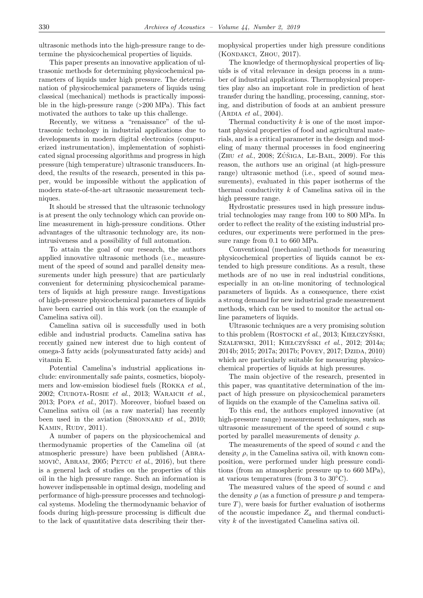ultrasonic methods into the high-pressure range to determine the physicochemical properties of liquids.

This paper presents an innovative application of ultrasonic methods for determining physicochemical parameters of liquids under high pressure. The determination of physicochemical parameters of liquids using classical (mechanical) methods is practically impossible in the high-pressure range (>200 MPa). This fact motivated the authors to take up this challenge.

Recently, we witness a "renaissance" of the ultrasonic technology in industrial applications due to developments in modern digital electronics (computerized instrumentation), implementation of sophisticated signal processing algorithms and progress in high pressure (high temperature) ultrasonic transducers. Indeed, the results of the research, presented in this paper, would be impossible without the application of modern state-of-the-art ultrasonic measurement techniques.

It should be stressed that the ultrasonic technology is at present the only technology which can provide online measurement in high-pressure conditions. Other advantages of the ultrasonic technology are, its nonintrusiveness and a possibility of full automation.

To attain the goal of our research, the authors applied innovative ultrasonic methods (i.e., measurement of the speed of sound and parallel density measurements under high pressure) that are particularly convenient for determining physicochemical parameters of liquids at high pressure range. Investigations of high-pressure physicochemical parameters of liquids have been carried out in this work (on the example of Camelina sativa oil).

Camelina sativa oil is successfully used in both edible and industrial products. Camelina sativa has recently gained new interest due to high content of omega-3 fatty acids (polyunsaturated fatty acids) and vitamin E.

Potential Camelina's industrial applications include: environmentally safe paints, cosmetics, biopolymers and low-emission biodiesel fuels (Rokka *et al*., 2002; Ciubota-Rosie *et al*., 2013; Waraich *et al*., 2013; Popa *et al*., 2017). Moreover, biofuel based on Camelina sativa oil (as a raw material) has recently been used in the aviation (SHONNARD *et al.*, 2010; KAMIN, RUDY, 2011).

A number of papers on the physicochemical and thermodynamic properties of the Camelina oil (at atmospheric pressure) have been published (Abramovič, ABRAM, 2005; PETCU *et al.*, 2016), but there is a general lack of studies on the properties of this oil in the high pressure range. Such an information is however indispensable in optimal design, modeling and performance of high-pressure processes and technological systems. Modeling the thermodynamic behavior of foods during high-pressure processing is difficult due to the lack of quantitative data describing their thermophysical properties under high pressure conditions (Kondakci, Zhou, 2017).

The knowledge of thermophysical properties of liquids is of vital relevance in design process in a number of industrial applications. Thermophysical properties play also an important role in prediction of heat transfer during the handling, processing, canning, storing, and distribution of foods at an ambient pressure (Ardia *et al*., 2004).

Thermal conductivity k is one of the most important physical properties of food and agricultural materials, and is a critical parameter in the design and modeling of many thermal processes in food engineering  $(ZHU et al., 2008; ZÚÑIGA, LE-BAIL, 2009)$ . For this reason, the authors use an original (at high-pressure range) ultrasonic method (i.e., speed of sound measurements), evaluated in this paper isotherms of the thermal conductivity  $k$  of Camelina sativa oil in the high pressure range.

Hydrostatic pressures used in high pressure industrial technologies may range from 100 to 800 MPa. In order to reflect the reality of the existing industrial procedures, our experiments were performed in the pressure range from 0.1 to 660 MPa.

Conventional (mechanical) methods for measuring physicochemical properties of liquids cannot be extended to high pressure conditions. As a result, these methods are of no use in real industrial conditions, especially in an on-line monitoring of technological parameters of liquids. As a consequence, there exist a strong demand for new industrial grade measurement methods, which can be used to monitor the actual online parameters of liquids.

Ultrasonic techniques are a very promising solution to this problem (Rostocki *et al*., 2013; Kiełczyński, Szalewski, 2011; Kiełczyński *et al*., 2012; 2014a; 2014b; 2015; 2017a; 2017b; POVEY, 2017; DZIDA, 2010) which are particularly suitable for measuring physicochemical properties of liquids at high pressures.

The main objective of the research, presented in this paper, was quantitative determination of the impact of high pressure on physicochemical parameters of liquids on the example of the Camelina sativa oil.

To this end, the authors employed innovative (at high-pressure range) measurement techniques, such as ultrasonic measurement of the speed of sound  $c$  supported by parallel measurements of density  $\rho$ .

The measurements of the speed of sound c and the density  $\rho$ , in the Camelina sativa oil, with known composition, were performed under high pressure conditions (from an atmospheric pressure up to 660 MPa), at various temperatures (from 3 to 30○C).

The measured values of the speed of sound c and the density  $\rho$  (as a function of pressure p and temperature  $T$ ), were basis for further evaluation of isotherms of the acoustic impedance  $Z_a$  and thermal conductivity k of the investigated Camelina sativa oil.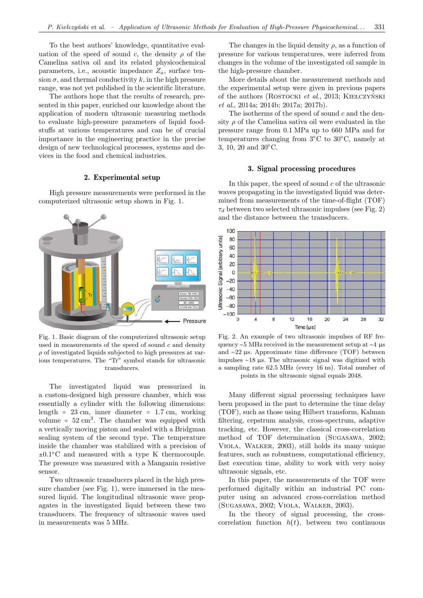To the best authors' knowledge, quantitative evaluation of the speed of sound c, the density  $\rho$  of the Camelina sativa oil and its related physicochemical parameters, i.e., acoustic impedance  $Z_a$ , surface tension  $\sigma$ , and thermal conductivity k, in the high pressure range, was not yet published in the scientific literature.

The authors hope that the results of research, presented in this paper, enriched our knowledge about the application of modern ultrasonic measuring methods to evaluate high-pressure parameters of liquid foodstuffs at various temperatures and can be of crucial importance in the engineering practice in the precise design of new technological processes, systems and devices in the food and chemical industries.

# 2. Experimental setup

High pressure measurements were performed in the computerized ultrasonic setup shown in Fig. 1.



Fig. 1. Basic diagram of the computerized ultrasonic setup used in measurements of the speed of sound  $c$  and density  $\rho$  of investigated liquids subjected to high pressures at various temperatures. The "Tr" symbol stands for ultrasonic transducers.

The investigated liquid was pressurized in a custom-designed high pressure chamber, which was essentially a cylinder with the following dimensions: length =  $23 \text{ cm}$ , inner diameter =  $1.7 \text{ cm}$ , working volume =  $52 \text{ cm}^3$ . The chamber was equipped with a vertically moving piston and sealed with a Bridgman sealing system of the second type. The temperature inside the chamber was stabilized with a precision of  $±0.1^{\circ}$ C and measured with a type K thermocouple. The pressure was measured with a Manganin resistive sensor.

Two ultrasonic transducers placed in the high pressure chamber (see Fig. 1), were immersed in the measured liquid. The longitudinal ultrasonic wave propagates in the investigated liquid between these two transducers. The frequency of ultrasonic waves used in measurements was 5 MHz.

The changes in the liquid density  $\rho$ , as a function of pressure for various temperatures, were inferred from changes in the volume of the investigated oil sample in the high-pressure chamber.

More details about the measurement methods and the experimental setup were given in previous papers of the authors (Rostocki *et al*., 2013; Kiełczyński *et al*., 2014a; 2014b; 2017a; 2017b).

The isotherms of the speed of sound  $c$  and the density  $\rho$  of the Camelina sativa oil were evaluated in the pressure range from 0.1 MPa up to 660 MPa and for temperatures changing from 3○C to 30○C, namely at 3, 10, 20 and 30○C.

# 3. Signal processing procedures

In this paper, the speed of sound  $c$  of the ultrasonic waves propagating in the investigated liquid was determined from measurements of the time-of-flight (TOF)  $\tau_d$  between two selected ultrasonic impulses (see Fig. 2) and the distance between the transducers.



Fig. 2. An example of two ultrasonic impulses of RF frequency ∼5 MHz received in the measurement setup at ∼4 µs and ∼22 µs. Approximate time difference (TOF) between impulses ∼18 µs. The ultrasonic signal was digitized with a sampling rate 62.5 MHz (every 16 ns). Total number of points in the ultrasonic signal equals 2048.

Many different signal processing techniques have been proposed in the past to determine the time delay (TOF), such as those using Hilbert transform, Kalman filtering, cepstrum analysis, cross-spectrum, adaptive tracking, etc. However, the classical cross-correlation method of TOF determination (Sugasawa, 2002; Viola, Walker, 2003), still holds its many unique features, such as robustness, computational efficiency, fast execution time, ability to work with very noisy ultrasonic signals, etc.

In this paper, the measurements of the TOF were performed digitally within an industrial PC computer using an advanced cross-correlation method (Sugasawa, 2002; Viola, Walker, 2003).

In the theory of signal processing, the crosscorrelation function  $h(t)$ , between two continuous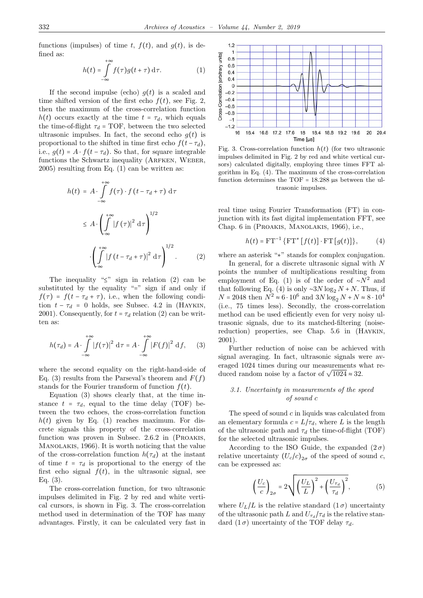functions (impulses) of time t,  $f(t)$ , and  $g(t)$ , is defined as:  $+\infty$ 

$$
h(t) = \int_{-\infty}^{\infty} f(\tau)g(t+\tau) d\tau.
$$
 (1)

If the second impulse (echo)  $g(t)$  is a scaled and time shifted version of the first echo  $f(t)$ , see Fig. 2, then the maximum of the cross-correlation function  $h(t)$  occurs exactly at the time  $t = \tau_d$ , which equals the time-of-flight  $\tau_d$  = TOF, between the two selected ultrasonic impulses. In fact, the second echo  $g(t)$  is proportional to the shifted in time first echo  $f(t - \tau_d)$ , i.e.,  $g(t) = A \cdot f(t - \tau_d)$ . So that, for square integrable functions the Schwartz inequality (ARFKEN, WEBER, 2005) resulting from Eq. (1) can be written as:

$$
h(t) = A \cdot \int_{-\infty}^{+\infty} f(\tau) \cdot f(t - \tau_d + \tau) d\tau
$$
  

$$
\leq A \cdot \left(\int_{-\infty}^{+\infty} |f(\tau)|^2 d\tau\right)^{1/2}
$$
  

$$
\cdot \left(\int_{-\infty}^{+\infty} |f(t - \tau_d + \tau)|^2 d\tau\right)^{1/2}.
$$
 (2)

The inequality " $\leq$ " sign in relation (2) can be substituted by the equality "=" sign if and only if  $f(\tau) = f(t - \tau_d + \tau)$ , i.e., when the following condition  $t - \tau_d = 0$  holds, see Subsec. 4.2 in (HAYKIN, 2001). Consequently, for  $t = \tau_d$  relation (2) can be written as:

$$
h(\tau_d) = A \cdot \int_{-\infty}^{+\infty} |f(\tau)|^2 \, \mathrm{d}\tau = A \cdot \int_{-\infty}^{+\infty} |F(f)|^2 \, \mathrm{d}f,\qquad(3)
$$

where the second equality on the right-hand-side of Eq. (3) results from the Parseval's theorem and  $F(f)$ stands for the Fourier transform of function  $f(t)$ .

Equation (3) shows clearly that, at the time instance  $t = \tau_d$ , equal to the time delay (TOF) between the two echoes, the cross-correlation function  $h(t)$  given by Eq. (1) reaches maximum. For discrete signals this property of the cross-correlation function was proven in Subsec. 2.6.2 in (PROAKIS, Manolakis, 1966). It is worth noticing that the value of the cross-correlation function  $h(\tau_d)$  at the instant of time  $t = \tau_d$  is proportional to the energy of the first echo signal  $f(t)$ , in the ultrasonic signal, see Eq. (3).

The cross-correlation function, for two ultrasonic impulses delimited in Fig. 2 by red and white vertical cursors, is shown in Fig. 3. The cross-correlation method used in determination of the TOF has many advantages. Firstly, it can be calculated very fast in



Fig. 3. Cross-correlation function  $h(t)$  (for two ultrasonic impulses delimited in Fig. 2 by red and white vertical cursors) calculated digitally, employing three times FFT algorithm in Eq. (4). The maximum of the cross-correlation function determines the TOF =  $18.288 \mu s$  between the ultrasonic impulses.

real time using Fourier Transformation (FT) in conjunction with its fast digital implementation FFT, see Chap. 6 in (Proakis, Manolakis, 1966), i.e.,

$$
h(t) = FT^{-1} \{ FT^* [f(t)] \cdot FT [g(t)] \},
$$
 (4)

where an asterisk "∗" stands for complex conjugation.

In general, for a discrete ultrasonic signal with N points the number of multiplications resulting from employment of Eq. (1) is of the order of  $\sim N^2$  and that following Eq. (4) is only ∼3N log<sub>2</sub> N + N. Thus, if  $N = 2048$  then  $N^2 \approx 6 \cdot 10^6$  and  $3N \log_2 N + N \approx 8 \cdot 10^4$ (i.e., 75 times less). Secondly, the cross-correlation method can be used efficiently even for very noisy ultrasonic signals, due to its matched-filtering (noisereduction) properties, see Chap. 5.6 in (Haykin, 2001).

Further reduction of noise can be achieved with signal averaging. In fact, ultrasonic signals were averaged 1024 times during our measurements what reeraged 1024 times during our measurements we duced random noise by a factor of  $\sqrt{1024} \approx 32$ .

## *3.1. Uncertainty in measurements of the speed of sound* c

The speed of sound  $c$  in liquids was calculated from an elementary formula  $c = L/\tau_d$ , where L is the length of the ultrasonic path and  $\tau_d$  the time-of-flight (TOF) for the selected ultrasonic impulses.

According to the ISO Guide, the expanded  $(2\sigma)$ relative uncertainty  $(U_c/c)_{2\sigma}$  of the speed of sound c, can be expressed as:

$$
\left(\frac{U_c}{c}\right)_{2\sigma} = 2\sqrt{\left(\frac{U_L}{L}\right)^2 + \left(\frac{U_{\tau_d}}{\tau_d}\right)^2},\tag{5}
$$

where  $U_L/L$  is the relative standard  $(1\sigma)$  uncertainty of the ultrasonic path L and  $U_{\tau_d}/\tau_d$  is the relative standard  $(1\,\sigma)$  uncertainty of the TOF delay  $\tau_d$ .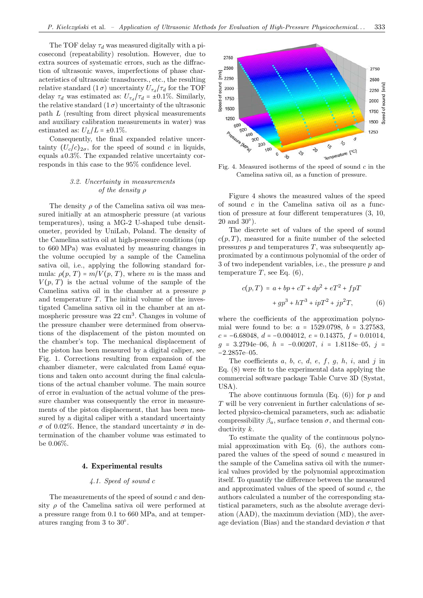The TOF delay  $\tau_d$  was measured digitally with a picosecond (repeatability) resolution. However, due to extra sources of systematic errors, such as the diffraction of ultrasonic waves, imperfections of phase characteristics of ultrasonic transducers., etc., the resulting relative standard  $(1\,\sigma)$  uncertainty  $U_{\tau_d}/\tau_d$  for the TOF delay  $\tau_d$  was estimated as:  $U_{\tau_d}/\tau_d = \pm 0.1\%$ . Similarly, the relative standard  $(1 \sigma)$  uncertainty of the ultrasonic path L (resulting from direct physical measurements and auxiliary calibration measurements in water) was estimated as:  $U_L/L = \pm 0.1\%$ .

Consequently, the final expanded relative uncertainty  $(U_c/c)_{2\sigma}$ , for the speed of sound c in liquids, equals  $\pm 0.3\%$ . The expanded relative uncertainty corresponds in this case to the 95% confidence level.

# *3.2. Uncertainty in measurements of the density* ρ

The density  $\rho$  of the Camelina sativa oil was measured initially at an atmospheric pressure (at various temperatures), using a MG-2 U-shaped tube densitometer, provided by UniLab, Poland. The density of the Camelina sativa oil at high-pressure conditions (up to 660 MPa) was evaluated by measuring changes in the volume occupied by a sample of the Camelina sativa oil, i.e., applying the following standard formula:  $\rho(p, T) = m/V(p, T)$ , where m is the mass and  $V(p, T)$  is the actual volume of the sample of the Camelina sativa oil in the chamber at a pressure  $p$ and temperature  $T$ . The initial volume of the investigated Camelina sativa oil in the chamber at an atmospheric pressure was  $22 \text{ cm}^3$ . Changes in volume of the pressure chamber were determined from observations of the displacement of the piston mounted on the chamber's top. The mechanical displacement of the piston has been measured by a digital caliper, see Fig. 1. Corrections resulting from expansion of the chamber diameter, were calculated from Lamé equations and taken onto account during the final calculations of the actual chamber volume. The main source of error in evaluation of the actual volume of the pressure chamber was consequently the error in measurements of the piston displacement, that has been measured by a digital caliper with a standard uncertainty σ of 0.02%. Hence, the standard uncertainty σ in determination of the chamber volume was estimated to be 0.06%.

### 4. Experimental results

# *4.1. Speed of sound* c

The measurements of the speed of sound  $c$  and density  $\rho$  of the Camelina sativa oil were performed at a pressure range from 0.1 to 660 MPa, and at temperatures ranging from 3 to 30○ .



Fig. 4. Measured isotherms of the speed of sound  $c$  in the Camelina sativa oil, as a function of pressure.

Figure 4 shows the measured values of the speed of sound  $c$  in the Camelina sativa oil as a function of pressure at four different temperatures (3, 10,  $20$  and  $30^{\circ}$ ).

The discrete set of values of the speed of sound  $c(p, T)$ , measured for a finite number of the selected pressures  $p$  and temperatures  $T$ , was subsequently approximated by a continuous polynomial of the order of 3 of two independent variables, i.e., the pressure p and temperature  $T$ , see Eq.  $(6)$ ,

$$
c(p,T) = a + bp + cT + dp2 + eT2 + fpT
$$

$$
+ gp3 + hT3 + ipT2 + jp2T,
$$
(6)

where the coefficients of the approximation polynomial were found to be:  $a = 1529.0798$ ,  $b = 3.27583$ ,  $c = -6.68048, d = -0.004012, e = 0.14375, f = 0.01014,$  $g = 3.2794e{-}06$ ,  $h = -0.00207$ ,  $i = 1.8118e{-}05$ ,  $j =$ −2.2857e–05.

The coefficients  $a, b, c, d, e, f, g, h, i, \text{ and } j \text{ in}$ Eq. (8) were fit to the experimental data applying the commercial software package Table Curve 3D (Systat, USA).

The above continuous formula  $(Eq. (6))$  for p and T will be very convenient in further calculations of selected physico-chemical parameters, such as: adiabatic compressibility  $\beta_a$ , surface tension  $\sigma$ , and thermal conductivity k.

To estimate the quality of the continuous polynomial approximation with Eq. (6), the authors compared the values of the speed of sound c measured in the sample of the Camelina sativa oil with the numerical values provided by the polynomial approximation itself. To quantify the difference between the measured and approximated values of the speed of sound  $c$ , the authors calculated a number of the corresponding statistical parameters, such as the absolute average deviation (AAD), the maximum deviation (MD), the average deviation (Bias) and the standard deviation  $\sigma$  that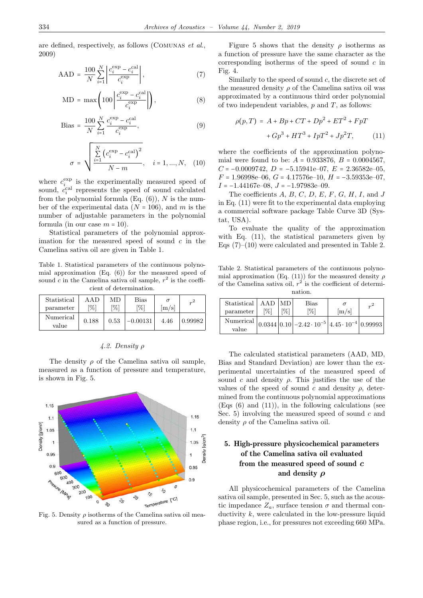are defined, respectively, as follows (Comunas *et al*., 2009)

$$
AAD = \frac{100}{N} \sum_{i=1}^{N} \left| \frac{c_i^{\exp} - c_i^{\text{cal}}}{c_i^{\exp}} \right|,
$$
 (7)

$$
MD = \max\left(100 \left| \frac{c_i^{\exp} - c_i^{\text{cal}}}{c_i^{\exp}} \right| \right),\tag{8}
$$

Bias = 
$$
\frac{100}{N} \sum_{i=1}^{N} \frac{c_i^{\exp} - c_i^{\text{cal}}}{c_i^{\exp}},
$$
 (9)

$$
\sigma = \sqrt{\frac{\sum_{i=1}^{N} (c_i^{\exp} - c_i^{\exp})^2}{N - m}}, \quad i = 1, ..., N, \quad (10)
$$

where  $c_i^{\text{exp}}$  is the experimentally measured speed of sound,  $c_i^{\text{cal}}$  represents the speed of sound calculated from the polynomial formula  $(Eq. (6))$ , N is the number of the experimental data  $(N = 106)$ , and m is the number of adjustable parameters in the polynomial formula (in our case  $m = 10$ ).

Statistical parameters of the polynomial approximation for the measured speed of sound  $c$  in the Camelina sativa oil are given in Table 1.

Table 1. Statistical parameters of the continuous polynomial approximation (Eq. (6)) for the measured speed of sound c in the Camelina sativa oil sample,  $r^2$  is the coefficient of determination.

| Statistical<br>parameter | A A D<br>$\%$ | МĐ<br>[%] | Bias<br>[%] | m/s  | $r^2$   |
|--------------------------|---------------|-----------|-------------|------|---------|
| Numerical<br>value       | 0.188         | 0.53      | $-0.00131$  | 4.46 | 0.99982 |

# *4.2. Density* ρ

The density  $\rho$  of the Camelina sativa oil sample, measured as a function of pressure and temperature, is shown in Fig. 5.



Fig. 5. Density  $\rho$  isotherms of the Camelina sativa oil measured as a function of pressure.

Figure 5 shows that the density  $\rho$  isotherms as a function of pressure have the same character as the corresponding isotherms of the speed of sound  $c$  in Fig. 4.

Similarly to the speed of sound  $c$ , the discrete set of the measured density  $\rho$  of the Camelina sativa oil was approximated by a continuous third order polynomial of two independent variables,  $p$  and  $T$ , as follows:

$$
\rho(p,T) = A + Bp + CT + Dp^{2} + ET^{2} + FpT + Gp^{3} + HT^{3} + IpT^{2} + Jp^{2}T,
$$
\n(11)

where the coefficients of the approximation polynomial were found to be:  $A = 0.933876$ ,  $B = 0.0004567$ ,  $C = -0.0009742, D = -5.15941e{-}07, E = 2.36582e{-}05,$  $F = 1.96998e-06$ ,  $G = 4.17576e-10$ ,  $H = -3.59353e-07$ ,  $I = -1.44167e-08$ ,  $J = -1.97983e-09$ .

The coefficients  $A, B, C, D, E, F, G, H, I$ , and J in Eq. (11) were fit to the experimental data employing a commercial software package Table Curve 3D (Systat, USA).

To evaluate the quality of the approximation with Eq. (11), the statistical parameters given by Eqs  $(7)-(10)$  were calculated and presented in Table 2.

Table 2. Statistical parameters of the continuous polynomial approximation (Eq. (11)) for the measured density  $\rho$ of the Camelina sativa oil,  $r^2$  is the coefficient of determination.

| Statistical<br>parameter | AAD<br>$\frac{100}{20}$ | MD.<br>$\%$ | Bias<br>$\mathcal{O}_{\mathcal{O}}$                                            | m/s | $\mathbb{R}^2$ |
|--------------------------|-------------------------|-------------|--------------------------------------------------------------------------------|-----|----------------|
| value                    |                         |             | Numerical $ 0.0344 0.10 $ -2.42 $\cdot 10^{-5}$ $ 4.45 \cdot 10^{-4} 0.99993 $ |     |                |

The calculated statistical parameters (AAD, MD, Bias and Standard Deviation) are lower than the experimental uncertainties of the measured speed of sound c and density  $\rho$ . This justifies the use of the values of the speed of sound c and density  $\rho$ , determined from the continuous polynomial approximations  $(Eqs (6)$  and  $(11)$ ), in the following calculations (see Sec. 5) involving the measured speed of sound  $c$  and density  $\rho$  of the Camelina sativa oil.

# 5. High-pressure physicochemical parameters of the Camelina sativa oil evaluated from the measured speed of sound *c* and density  $\rho$

All physicochemical parameters of the Camelina sativa oil sample, presented in Sec. 5, such as the acoustic impedance  $Z_a$ , surface tension  $\sigma$  and thermal conductivity  $k$ , were calculated in the low-pressure liquid phase region, i.e., for pressures not exceeding 660 MPa.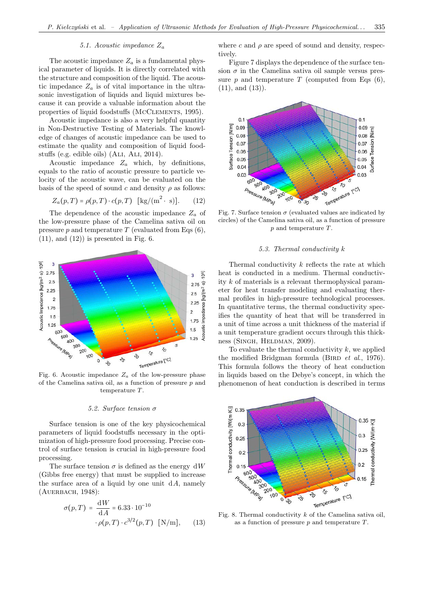### *5.1. Acoustic impedance* Z<sup>a</sup>

The acoustic impedance  $Z_a$  is a fundamental physical parameter of liquids. It is directly correlated with the structure and composition of the liquid. The acoustic impedance  $Z_a$  is of vital importance in the ultrasonic investigation of liquids and liquid mixtures because it can provide a valuable information about the properties of liquid foodstuffs (McClements, 1995).

Acoustic impedance is also a very helpful quantity in Non-Destructive Testing of Materials. The knowledge of changes of acoustic impedance can be used to estimate the quality and composition of liquid foodstuffs (e.g. edible oils) (Ali, Ali, 2014).

Acoustic impedance  $Z_a$  which, by definitions, equals to the ratio of acoustic pressure to particle velocity of the acoustic wave, can be evaluated on the basis of the speed of sound c and density  $\rho$  as follows:

$$
Z_a(p,T) = \rho(p,T) \cdot c(p,T) \quad [\text{kg/(m}^2 \cdot \text{s)}]. \tag{12}
$$

The dependence of the acoustic impedance  $Z_a$  of the low-pressure phase of the Camelina sativa oil on pressure  $p$  and temperature  $T$  (evaluated from Eqs (6),  $(11)$ , and  $(12)$  is presented in Fig. 6.



Fig. 6. Acoustic impedance  $Z_a$  of the low-pressure phase of the Camelina sativa oil, as a function of pressure  $p$  and temperature T.

#### *5.2. Surface tension* σ

Surface tension is one of the key physicochemical parameters of liquid foodstuffs necessary in the optimization of high-pressure food processing. Precise control of surface tension is crucial in high-pressure food processing.

The surface tension  $\sigma$  is defined as the energy dW (Gibbs free energy) that must be supplied to increase the surface area of a liquid by one unit  $dA$ , namely (AUERBACH, 1948):

$$
\sigma(p,T) = \frac{dW}{dA} = 6.33 \cdot 10^{-10}
$$

$$
\cdot \rho(p,T) \cdot c^{3/2}(p,T) \quad [N/m], \qquad (13)
$$

where c and  $\rho$  are speed of sound and density, respectively.

Figure 7 displays the dependence of the surface tension  $\sigma$  in the Camelina sativa oil sample versus pressure  $p$  and temperature  $T$  (computed from Eqs  $(6)$ , (11), and (13)).



Fig. 7. Surface tension  $\sigma$  (evaluated values are indicated by circles) of the Camelina sativa oil, as a function of pressure p and temperature T.

#### *5.3. Thermal conductivity* k

Thermal conductivity k reflects the rate at which heat is conducted in a medium. Thermal conductivity k of materials is a relevant thermophysical parameter for heat transfer modeling and evaluating thermal profiles in high-pressure technological processes. In quantitative terms, the thermal conductivity specifies the quantity of heat that will be transferred in a unit of time across a unit thickness of the material if a unit temperature gradient occurs through this thickness (SINGH, HELDMAN, 2009).

To evaluate the thermal conductivity  $k$ , we applied the modified Bridgman formula (BIRD *et al.*, 1976). This formula follows the theory of heat conduction in liquids based on the Debye's concept, in which the phenomenon of heat conduction is described in terms



Fig. 8. Thermal conductivity  $k$  of the Camelina sativa oil, as a function of pressure  $p$  and temperature  $T$ .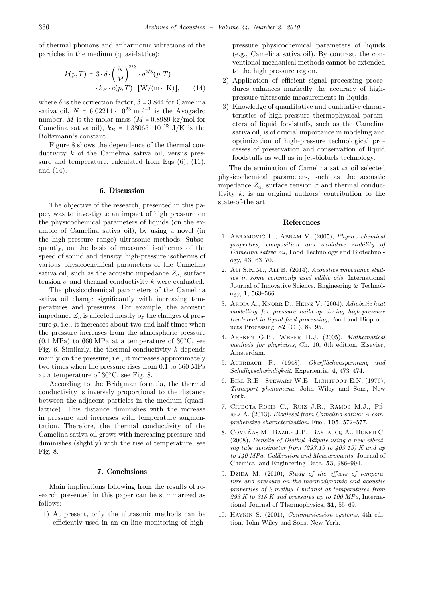of thermal phonons and anharmonic vibrations of the particles in the medium (quasi-lattice):

$$
k(p,T) = 3 \cdot \delta \cdot \left(\frac{N}{M}\right)^{2/3} \cdot \rho^{2/3}(p,T)
$$

$$
\cdot k_B \cdot c(p,T) \quad [\text{W/(m·K)],} \qquad (14)
$$

where  $\delta$  is the correction factor,  $\delta$  = 3.844 for Camelina sativa oil,  $N = 6.02214 \cdot 10^{23} \text{ mol}^{-1}$  is the Avogadro number, M is the molar mass  $(M = 0.8989 \text{ kg/mol}$  for Camelina sativa oil),  $k_B = 1.38065 \cdot 10^{-23}$  J/K is the Boltzmann's constant.

Figure 8 shows the dependence of the thermal conductivity  $k$  of the Camelina sativa oil, versus pressure and temperature, calculated from Eqs (6), (11), and (14).

## 6. Discussion

The objective of the research, presented in this paper, was to investigate an impact of high pressure on the physicochemical parameters of liquids (on the example of Camelina sativa oil), by using a novel (in the high-pressure range) ultrasonic methods. Subsequently, on the basis of measured isotherms of the speed of sound and density, high-pressure isotherms of various physicochemical parameters of the Camelina sativa oil, such as the acoustic impedance  $Z_a$ , surface tension  $\sigma$  and thermal conductivity k were evaluated.

The physicochemical parameters of the Camelina sativa oil change significantly with increasing temperatures and pressures. For example, the acoustic impedance  $Z_a$  is affected mostly by the changes of pressure  $p$ , i.e., it increases about two and half times when the pressure increases from the atmospheric pressure  $(0.1 \text{ MPa})$  to 660 MPa at a temperature of 30 $^{\circ}$ C, see Fig. 6. Similarly, the thermal conductivity  $k$  depends mainly on the pressure, i.e., it increases approximately two times when the pressure rises from 0.1 to 660 MPa at a temperature of 30○C, see Fig. 8.

According to the Bridgman formula, the thermal conductivity is inversely proportional to the distance between the adjacent particles in the medium (quasilattice). This distance diminishes with the increase in pressure and increases with temperature augmentation. Therefore, the thermal conductivity of the Camelina sativa oil grows with increasing pressure and diminishes (slightly) with the rise of temperature, see Fig. 8.

#### 7. Conclusions

Main implications following from the results of research presented in this paper can be summarized as follows:

1) At present, only the ultrasonic methods can be efficiently used in an on-line monitoring of highpressure physicochemical parameters of liquids (e.g., Camelina sativa oil). By contrast, the conventional mechanical methods cannot be extended to the high pressure region.

- 2) Application of efficient signal processing procedures enhances markedly the accuracy of highpressure ultrasonic measurements in liquids.
- 3) Knowledge of quantitative and qualitative characteristics of high-pressure thermophysical parameters of liquid foodstuffs, such as the Camelina sativa oil, is of crucial importance in modeling and optimization of high-pressure technological processes of preservation and conservation of liquid foodstuffs as well as in jet-biofuels technology.

The determination of Camelina sativa oil selected physicochemical parameters, such as the acoustic impedance  $Z_a$ , surface tension  $\sigma$  and thermal conductivity  $k$ , is an original authors' contribution to the state-of-the art.

#### References

- 1. ABRAMOVIČ H., ABRAM V. (2005), *Physico-chemical properties, composition and oxidative stability of Camelina sativa oil*, Food Technology and Biotechnology, **43**, 63–70.
- 2. Ali S.K.M., Ali B. (2014), *Acoustics impedance studies in some commonly used edible oils*, International Journal of Innovative Science, Engineering & Technology, **1**, 563–566.
- 3. Ardia A., Knorr D., Heinz V. (2004), *Adiabatic heat modelling for pressure build-up during high-pressure treatment in liquid-food processing*, Food and Bioproducts Processing, **82** (C1), 89–95.
- 4. Arfken G.B., Weber H.J. (2005), *Mathematical methods for physicists*, Ch. 10, 6th edition, Elsevier, Amsterdam.
- 5. Auerbach R. (1948), *Oberfl¨achenspannung und Schallgeschwindigkeit*, Experientia, **4**, 473–474.
- 6. Bird R.B., Stewart W.E., Lightfoot E.N. (1976), *Transport phenomena*, John Wiley and Sons, New York.
- 7. CIUBOTA-ROSIE C., RUIZ J.R., RAMOS M.J., PÉrez A. (2013), *Biodiesel from Camelina sativa: A comprehensive characterization*, Fuel, **105**, 572–577.
- 8. COMUÑAS M., BAZILE J.P., BAYLAUCQ A., BONED C. (2008), *Density of Diethyl Adipate using a new vibrating tube densimeter from (293.15 to 403.15) K and up to 140 MPa. Calibration and Measurements*, Journal of Chemical and Engineering Data, **53**, 986–994.
- 9. Dzipa M. (2010), *Study of the effects of temperature and pressure on the thermodynamic and acoustic properties of 2-methyl-1-butanol at temperatures from 293 K to 318 K and pressures up to 100 MPa*, International Journal of Thermophysics, **31**, 55–69.
- 10. Haykin S. (2001), *Communication systems*, 4th edition, John Wiley and Sons, New York.